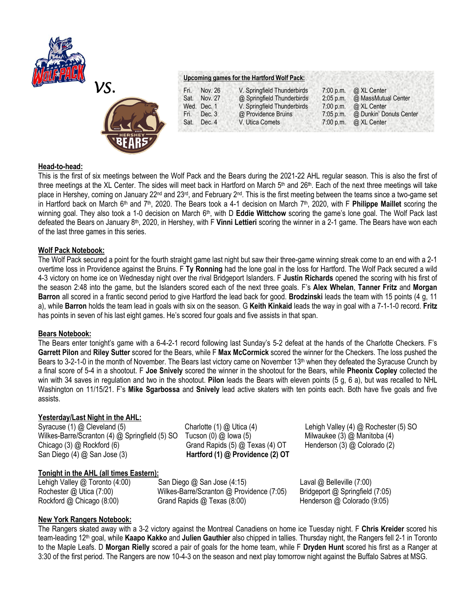



#### **Upcoming games for the Hartford Wolf Pack:**

| Fri. | Nov. 26     | V. Springfield Thunderbirds | $7:00$ p.m. | @ XL Center             |
|------|-------------|-----------------------------|-------------|-------------------------|
| Sat. | Nov. 27     | @ Springfield Thunderbirds  | $2:05$ p.m. | @ MassMutual Center     |
|      | Wed. Dec. 1 | V. Springfield Thunderbirds | 7:00 p.m.   | @ XL Center             |
| Fri. | Dec. 3      | @ Providence Bruins         | $7:05$ p.m. | @ Dunkin' Donuts Center |
| Sat. | Dec. 4      | V. Utica Comets             | $7:00$ p.m. | @ XL Center             |

## **Head-to-head:**

This is the first of six meetings between the Wolf Pack and the Bears during the 2021-22 AHL regular season. This is also the first of three meetings at the XL Center. The sides will meet back in Hartford on March 5<sup>th</sup> and 26<sup>th</sup>. Each of the next three meetings will take place in Hershey, coming on January 22<sup>nd</sup> and 23<sup>rd</sup>, and February 2<sup>nd</sup>. This is the first meeting between the teams since a two-game set in Hartford back on March 6th and 7th, 2020. The Bears took a 4-1 decision on March 7th , 2020, with F **Philippe Maillet** scoring the winning goal. They also took a 1-0 decision on March 6th, with D **Eddie Wittchow** scoring the game's lone goal. The Wolf Pack last defeated the Bears on January 8<sup>th</sup>, 2020, in Hershey, with F **Vinni Lettieri** scoring the winner in a 2-1 game. The Bears have won each of the last three games in this series.

### **Wolf Pack Notebook:**

The Wolf Pack secured a point for the fourth straight game last night but saw their three-game winning streak come to an end with a 2-1 overtime loss in Providence against the Bruins. F **Ty Ronning** had the lone goal in the loss for Hartford. The Wolf Pack secured a wild 4-3 victory on home ice on Wednesday night over the rival Bridgeport Islanders. F **Justin Richards** opened the scoring with his first of the season 2:48 into the game, but the Islanders scored each of the next three goals. F's **Alex Whelan**, **Tanner Fritz** and **Morgan Barron** all scored in a frantic second period to give Hartford the lead back for good. **Brodzinski** leads the team with 15 points (4 g, 11 a), while **Barron** holds the team lead in goals with six on the season. G **Keith Kinkaid** leads the way in goal with a 7-1-1-0 record. **Fritz**  has points in seven of his last eight games. He's scored four goals and five assists in that span.

#### **Bears Notebook:**

The Bears enter tonight's game with a 6-4-2-1 record following last Sunday's 5-2 defeat at the hands of the Charlotte Checkers. F's **Garrett Pilon** and **Riley Sutter** scored for the Bears, while F **Max McCormick** scored the winner for the Checkers. The loss pushed the Bears to 3-2-1-0 in the month of November. The Bears last victory came on November 13<sup>th</sup> when they defeated the Syracuse Crunch by a final score of 5-4 in a shootout. F **Joe Snively** scored the winner in the shootout for the Bears, while **Pheonix Copley** collected the win with 34 saves in regulation and two in the shootout. **Pilon** leads the Bears with eleven points (5 g, 6 a), but was recalled to NHL Washington on 11/15/21. F's **Mike Sgarbossa** and **Snively** lead active skaters with ten points each. Both have five goals and five assists.

# **Yesterday/Last Night in the AHL:**

Syracuse (1) @ Cleveland (5)Charlotte (1) @ Utica (4) Lehigh Valley (4) @ Rochester (5) SO Wilkes-Barre/Scranton (4) @ Springfield (5) SO Tucson (0) @ Iowa (5) Milwaukee (3) @ Manitoba (4) Chicago (3) @ Rockford (6) Grand Rapids (5) @ Texas (4) OT Henderson (3) @ Colorado (2) San Diego (4) @ San Jose (3) **Hartford (1) @ Providence (2) OT**

## **Tonight in the AHL (all times Eastern):**

Lehigh Valley @ Toronto (4:00)San Diego @ San Jose (4:15) Laval @ Belleville (7:00) Rochester @ Utica (7:00)Wilkes-Barre/Scranton @ Providence (7:05) Bridgeport @ Springfield (7:05) Rockford @ Chicago (8:00) Grand Rapids @ Texas (8:00) Henderson @ Colorado (9:05)

## **New York Rangers Notebook:**

The Rangers skated away with a 3-2 victory against the Montreal Canadiens on home ice Tuesday night. F **Chris Kreider** scored his team-leading 12th goal, while **Kaapo Kakko** and **Julien Gauthier** also chipped in tallies. Thursday night, the Rangers fell 2-1 in Toronto to the Maple Leafs. D **Morgan Rielly** scored a pair of goals for the home team, while F **Dryden Hunt** scored his first as a Ranger at 3:30 of the first period. The Rangers are now 10-4-3 on the season and next play tomorrow night against the Buffalo Sabres at MSG.